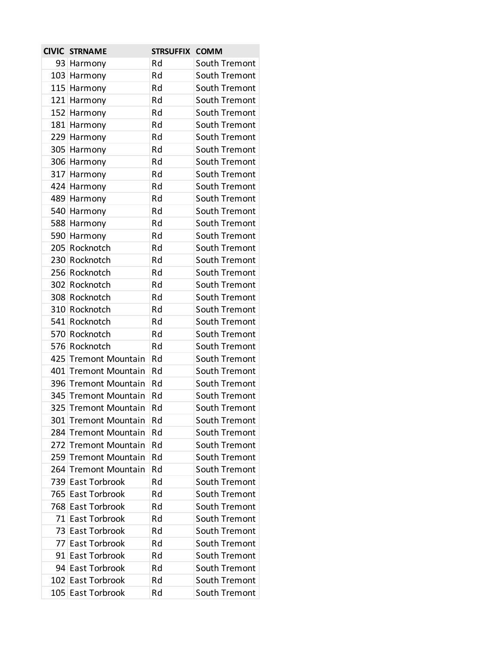|     | <b>CIVIC STRNAME</b>    | <b>STRSUFFIX</b> | <b>COMM</b>   |
|-----|-------------------------|------------------|---------------|
|     | 93 Harmony              | Rd               | South Tremont |
|     | 103 Harmony             | Rd               | South Tremont |
|     | 115 Harmony             | Rd               | South Tremont |
|     | 121 Harmony             | Rd               | South Tremont |
|     | 152 Harmony             | Rd               | South Tremont |
|     | 181 Harmony             | Rd               | South Tremont |
|     | 229 Harmony             | Rd               | South Tremont |
|     | 305 Harmony             | Rd               | South Tremont |
|     | 306 Harmony             | Rd               | South Tremont |
|     | 317 Harmony             | Rd               | South Tremont |
|     | 424 Harmony             | Rd               | South Tremont |
|     | 489 Harmony             | Rd               | South Tremont |
|     | 540 Harmony             | Rd               | South Tremont |
|     | 588 Harmony             | Rd               | South Tremont |
|     | 590 Harmony             | Rd               | South Tremont |
|     | 205 Rocknotch           | Rd               | South Tremont |
|     | 230 Rocknotch           | Rd               | South Tremont |
|     | 256 Rocknotch           | Rd               | South Tremont |
|     | 302 Rocknotch           | Rd               | South Tremont |
|     | 308 Rocknotch           | Rd               | South Tremont |
|     | 310 Rocknotch           | Rd               | South Tremont |
|     | 541 Rocknotch           | Rd               | South Tremont |
|     | 570 Rocknotch           | Rd               | South Tremont |
|     | 576 Rocknotch           | Rd               | South Tremont |
|     | 425 Tremont Mountain    | Rd               | South Tremont |
|     | 401 Tremont Mountain    | Rd               | South Tremont |
|     | 396 Tremont Mountain    | Rd               | South Tremont |
|     | 345 Tremont Mountain    | Rd               | South Tremont |
|     | 325 Tremont Mountain    | Rd               | South Tremont |
|     | 301 Tremont Mountain    | Rd               | South Tremont |
| 284 | <b>Tremont Mountain</b> | Rd               | South Tremont |
|     | 272 Tremont Mountain    | Rd               | South Tremont |
| 259 | <b>Tremont Mountain</b> | Rd               | South Tremont |
| 264 | <b>Tremont Mountain</b> | Rd               | South Tremont |
|     | 739 East Torbrook       | Rd               | South Tremont |
|     | 765 East Torbrook       | Rd               | South Tremont |
|     | 768 East Torbrook       | Rd               | South Tremont |
|     | 71 East Torbrook        | Rd               | South Tremont |
|     | 73 East Torbrook        | Rd               | South Tremont |
|     | 77 East Torbrook        | Rd               | South Tremont |
|     | 91 East Torbrook        | Rd               | South Tremont |
|     | 94 East Torbrook        | Rd               | South Tremont |
|     | 102 East Torbrook       | Rd               | South Tremont |
|     | 105 East Torbrook       | Rd               | South Tremont |